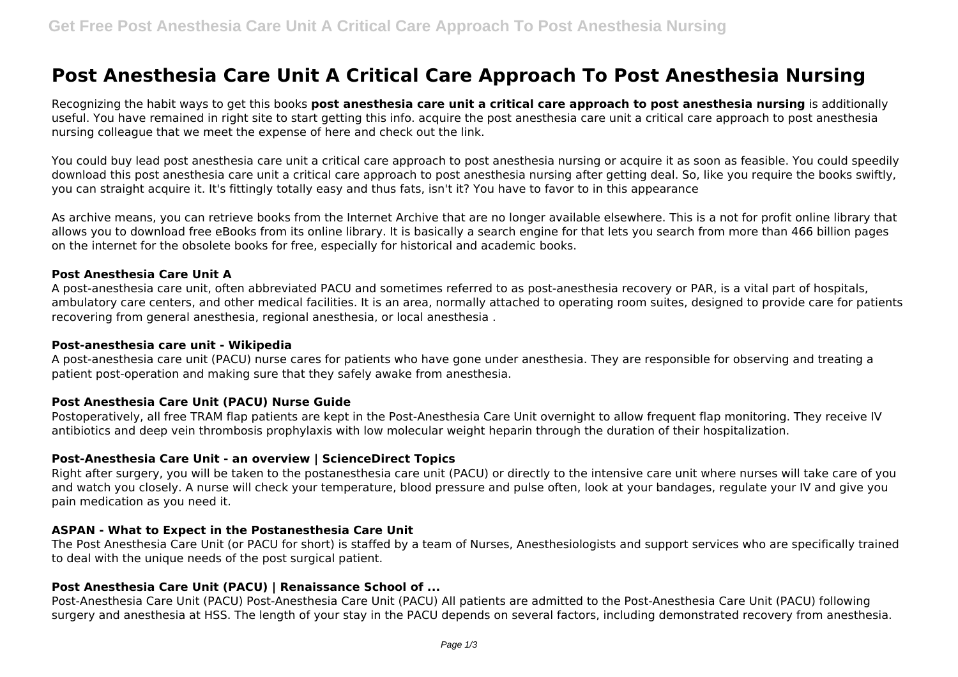# **Post Anesthesia Care Unit A Critical Care Approach To Post Anesthesia Nursing**

Recognizing the habit ways to get this books **post anesthesia care unit a critical care approach to post anesthesia nursing** is additionally useful. You have remained in right site to start getting this info. acquire the post anesthesia care unit a critical care approach to post anesthesia nursing colleague that we meet the expense of here and check out the link.

You could buy lead post anesthesia care unit a critical care approach to post anesthesia nursing or acquire it as soon as feasible. You could speedily download this post anesthesia care unit a critical care approach to post anesthesia nursing after getting deal. So, like you require the books swiftly, you can straight acquire it. It's fittingly totally easy and thus fats, isn't it? You have to favor to in this appearance

As archive means, you can retrieve books from the Internet Archive that are no longer available elsewhere. This is a not for profit online library that allows you to download free eBooks from its online library. It is basically a search engine for that lets you search from more than 466 billion pages on the internet for the obsolete books for free, especially for historical and academic books.

## **Post Anesthesia Care Unit A**

A post-anesthesia care unit, often abbreviated PACU and sometimes referred to as post-anesthesia recovery or PAR, is a vital part of hospitals, ambulatory care centers, and other medical facilities. It is an area, normally attached to operating room suites, designed to provide care for patients recovering from general anesthesia, regional anesthesia, or local anesthesia .

## **Post-anesthesia care unit - Wikipedia**

A post-anesthesia care unit (PACU) nurse cares for patients who have gone under anesthesia. They are responsible for observing and treating a patient post-operation and making sure that they safely awake from anesthesia.

## **Post Anesthesia Care Unit (PACU) Nurse Guide**

Postoperatively, all free TRAM flap patients are kept in the Post-Anesthesia Care Unit overnight to allow frequent flap monitoring. They receive IV antibiotics and deep vein thrombosis prophylaxis with low molecular weight heparin through the duration of their hospitalization.

## **Post-Anesthesia Care Unit - an overview | ScienceDirect Topics**

Right after surgery, you will be taken to the postanesthesia care unit (PACU) or directly to the intensive care unit where nurses will take care of you and watch you closely. A nurse will check your temperature, blood pressure and pulse often, look at your bandages, regulate your IV and give you pain medication as you need it.

## **ASPAN - What to Expect in the Postanesthesia Care Unit**

The Post Anesthesia Care Unit (or PACU for short) is staffed by a team of Nurses, Anesthesiologists and support services who are specifically trained to deal with the unique needs of the post surgical patient.

# **Post Anesthesia Care Unit (PACU) | Renaissance School of ...**

Post-Anesthesia Care Unit (PACU) Post-Anesthesia Care Unit (PACU) All patients are admitted to the Post-Anesthesia Care Unit (PACU) following surgery and anesthesia at HSS. The length of your stay in the PACU depends on several factors, including demonstrated recovery from anesthesia.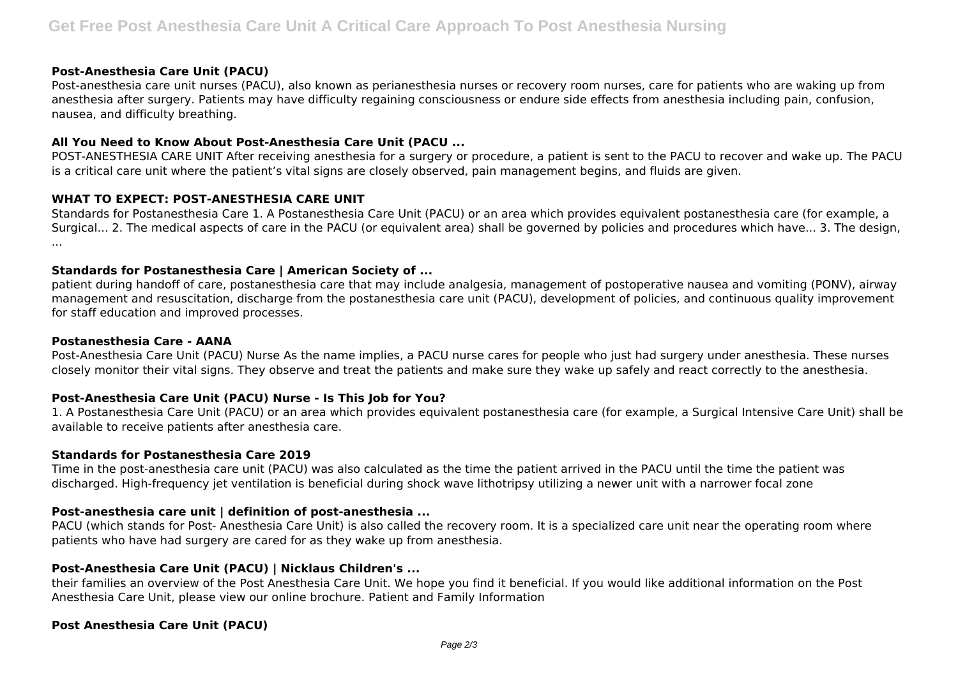## **Post-Anesthesia Care Unit (PACU)**

Post-anesthesia care unit nurses (PACU), also known as perianesthesia nurses or recovery room nurses, care for patients who are waking up from anesthesia after surgery. Patients may have difficulty regaining consciousness or endure side effects from anesthesia including pain, confusion, nausea, and difficulty breathing.

## **All You Need to Know About Post-Anesthesia Care Unit (PACU ...**

POST-ANESTHESIA CARE UNIT After receiving anesthesia for a surgery or procedure, a patient is sent to the PACU to recover and wake up. The PACU is a critical care unit where the patient's vital signs are closely observed, pain management begins, and fluids are given.

## **WHAT TO EXPECT: POST-ANESTHESIA CARE UNIT**

Standards for Postanesthesia Care 1. A Postanesthesia Care Unit (PACU) or an area which provides equivalent postanesthesia care (for example, a Surgical... 2. The medical aspects of care in the PACU (or equivalent area) shall be governed by policies and procedures which have... 3. The design, ...

# **Standards for Postanesthesia Care | American Society of ...**

patient during handoff of care, postanesthesia care that may include analgesia, management of postoperative nausea and vomiting (PONV), airway management and resuscitation, discharge from the postanesthesia care unit (PACU), development of policies, and continuous quality improvement for staff education and improved processes.

#### **Postanesthesia Care - AANA**

Post-Anesthesia Care Unit (PACU) Nurse As the name implies, a PACU nurse cares for people who just had surgery under anesthesia. These nurses closely monitor their vital signs. They observe and treat the patients and make sure they wake up safely and react correctly to the anesthesia.

# **Post-Anesthesia Care Unit (PACU) Nurse - Is This Job for You?**

1. A Postanesthesia Care Unit (PACU) or an area which provides equivalent postanesthesia care (for example, a Surgical Intensive Care Unit) shall be available to receive patients after anesthesia care.

## **Standards for Postanesthesia Care 2019**

Time in the post-anesthesia care unit (PACU) was also calculated as the time the patient arrived in the PACU until the time the patient was discharged. High-frequency jet ventilation is beneficial during shock wave lithotripsy utilizing a newer unit with a narrower focal zone

## **Post-anesthesia care unit | definition of post-anesthesia ...**

PACU (which stands for Post- Anesthesia Care Unit) is also called the recovery room. It is a specialized care unit near the operating room where patients who have had surgery are cared for as they wake up from anesthesia.

## **Post-Anesthesia Care Unit (PACU) | Nicklaus Children's ...**

their families an overview of the Post Anesthesia Care Unit. We hope you find it beneficial. If you would like additional information on the Post Anesthesia Care Unit, please view our online brochure. Patient and Family Information

## **Post Anesthesia Care Unit (PACU)**